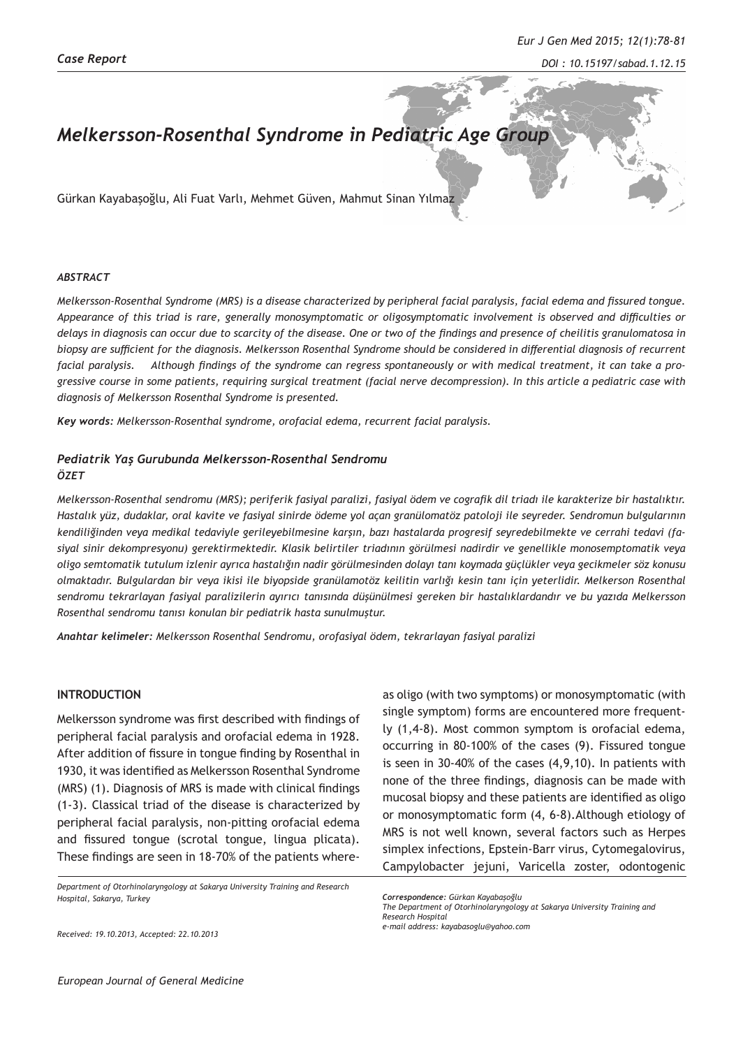#### *DOI : 10.15197/sabad.1.12.15*

# *Melkersson-Rosenthal Syndrome in Pediatric Age Group*

Gürkan Kayabaşoğlu, Ali Fuat Varlı, Mehmet Güven, Mahmut Sinan Yılmaz

#### *ABSTRACT*

*Melkersson-Rosenthal Syndrome (MRS) is a disease characterized by peripheral facial paralysis, facial edema and fissured tongue. Appearance of this triad is rare, generally monosymptomatic or oligosymptomatic involvement is observed and difficulties or delays in diagnosis can occur due to scarcity of the disease. One or two of the findings and presence of cheilitis granulomatosa in biopsy are sufficient for the diagnosis. Melkersson Rosenthal Syndrome should be considered in differential diagnosis of recurrent facial paralysis. Although findings of the syndrome can regress spontaneously or with medical treatment, it can take a progressive course in some patients, requiring surgical treatment (facial nerve decompression). In this article a pediatric case with diagnosis of Melkersson Rosenthal Syndrome is presented.*

*Key words: Melkersson-Rosenthal syndrome, orofacial edema, recurrent facial paralysis.*

### *Pediatrik Yaş Gurubunda Melkersson-Rosenthal Sendromu ÖZET*

*Melkersson-Rosenthal sendromu (MRS); periferik fasiyal paralizi, fasiyal ödem ve cografik dil triadı ile karakterize bir hastalıktır. Hastalık yüz, dudaklar, oral kavite ve fasiyal sinirde ödeme yol açan granülomatöz patoloji ile seyreder. Sendromun bulgularının kendiliğinden veya medikal tedaviyle gerileyebilmesine karşın, bazı hastalarda progresif seyredebilmekte ve cerrahi tedavi (fasiyal sinir dekompresyonu) gerektirmektedir. Klasik belirtiler triadının görülmesi nadirdir ve genellikle monosemptomatik veya oligo semtomatik tutulum izlenir ayrıca hastalığın nadir görülmesinden dolayı tanı koymada güçlükler veya gecikmeler söz konusu olmaktadır. Bulgulardan bir veya ikisi ile biyopside granülamotöz keilitin varlığı kesin tanı için yeterlidir. Melkerson Rosenthal sendromu tekrarlayan fasiyal paralizilerin ayırıcı tanısında düşünülmesi gereken bir hastalıklardandır ve bu yazıda Melkersson Rosenthal sendromu tanısı konulan bir pediatrik hasta sunulmuştur.*

*Anahtar kelimeler: Melkersson Rosenthal Sendromu, orofasiyal ödem, tekrarlayan fasiyal paralizi*

## **INTRODUCTION**

Melkersson syndrome was first described with findings of peripheral facial paralysis and orofacial edema in 1928. After addition of fissure in tongue finding by Rosenthal in 1930, it was identified as Melkersson Rosenthal Syndrome (MRS) (1). Diagnosis of MRS is made with clinical findings (1-3). Classical triad of the disease is characterized by peripheral facial paralysis, non-pitting orofacial edema and fissured tongue (scrotal tongue, lingua plicata). These findings are seen in 18-70% of the patients where-

*Department of Otorhinolaryngology at Sakarya University Training and Research Hospital, Sakarya, Turkey*

as oligo (with two symptoms) or monosymptomatic (with single symptom) forms are encountered more frequently (1,4-8). Most common symptom is orofacial edema, occurring in 80-100% of the cases (9). Fissured tongue is seen in 30-40% of the cases (4,9,10). In patients with none of the three findings, diagnosis can be made with mucosal biopsy and these patients are identified as oligo or monosymptomatic form (4, 6-8).Although etiology of MRS is not well known, several factors such as Herpes simplex infections, Epstein-Barr virus, Cytomegalovirus, Campylobacter jejuni, Varicella zoster, odontogenic

*e-mail address: kayabasoglu@yahoo.com*

*Received: 19.10.2013, Accepted: 22.10.2013*

*Correspondence: Gürkan Kayabaşoğlu*

*The Department of Otorhinolaryngology at Sakarya University Training and Research Hospital*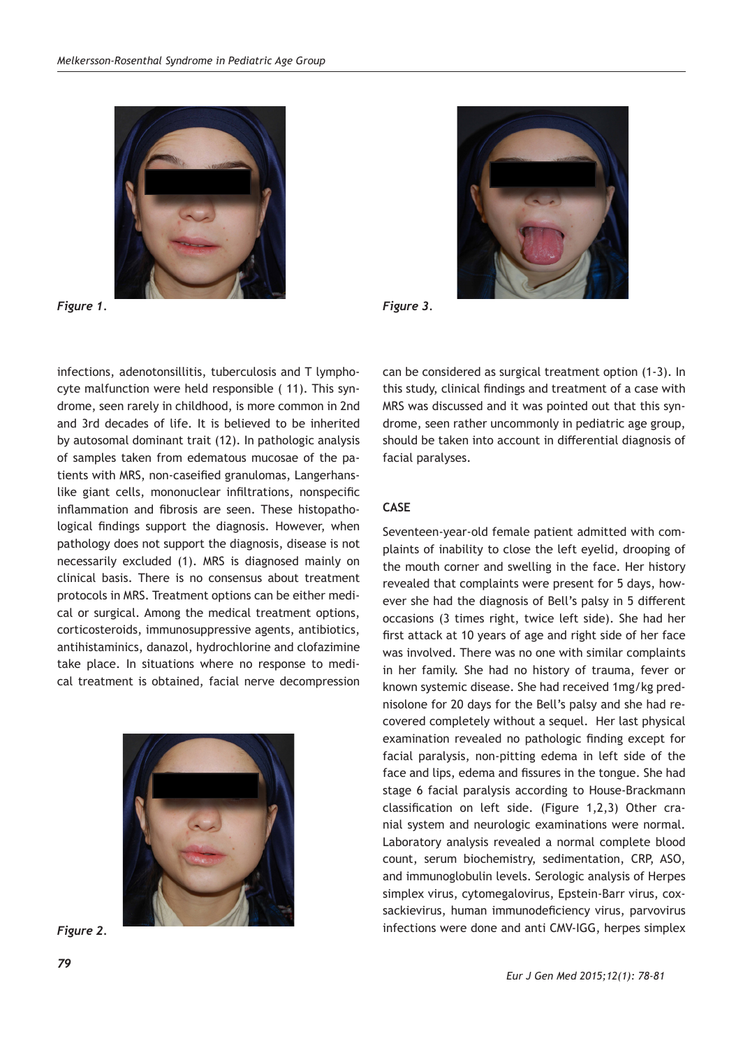

*Figure 1.* 



*Figure 3.* 

infections, adenotonsillitis, tuberculosis and T lymphocyte malfunction were held responsible ( 11). This syndrome, seen rarely in childhood, is more common in 2nd and 3rd decades of life. It is believed to be inherited by autosomal dominant trait (12). In pathologic analysis of samples taken from edematous mucosae of the patients with MRS, non-caseified granulomas, Langerhanslike giant cells, mononuclear infiltrations, nonspecific inflammation and fibrosis are seen. These histopathological findings support the diagnosis. However, when pathology does not support the diagnosis, disease is not necessarily excluded (1). MRS is diagnosed mainly on clinical basis. There is no consensus about treatment protocols in MRS. Treatment options can be either medical or surgical. Among the medical treatment options, corticosteroids, immunosuppressive agents, antibiotics, antihistaminics, danazol, hydrochlorine and clofazimine take place. In situations where no response to medical treatment is obtained, facial nerve decompression



*Figure 2.* 

can be considered as surgical treatment option (1-3). In this study, clinical findings and treatment of a case with MRS was discussed and it was pointed out that this syndrome, seen rather uncommonly in pediatric age group, should be taken into account in differential diagnosis of facial paralyses.

## **CASE**

Seventeen-year-old female patient admitted with complaints of inability to close the left eyelid, drooping of the mouth corner and swelling in the face. Her history revealed that complaints were present for 5 days, however she had the diagnosis of Bell's palsy in 5 different occasions (3 times right, twice left side). She had her first attack at 10 years of age and right side of her face was involved. There was no one with similar complaints in her family. She had no history of trauma, fever or known systemic disease. She had received 1mg/kg prednisolone for 20 days for the Bell's palsy and she had recovered completely without a sequel. Her last physical examination revealed no pathologic finding except for facial paralysis, non-pitting edema in left side of the face and lips, edema and fissures in the tongue. She had stage 6 facial paralysis according to House-Brackmann classification on left side. (Figure 1,2,3) Other cranial system and neurologic examinations were normal. Laboratory analysis revealed a normal complete blood count, serum biochemistry, sedimentation, CRP, ASO, and immunoglobulin levels. Serologic analysis of Herpes simplex virus, cytomegalovirus, Epstein-Barr virus, coxsackievirus, human immunodeficiency virus, parvovirus infections were done and anti CMV-IGG, herpes simplex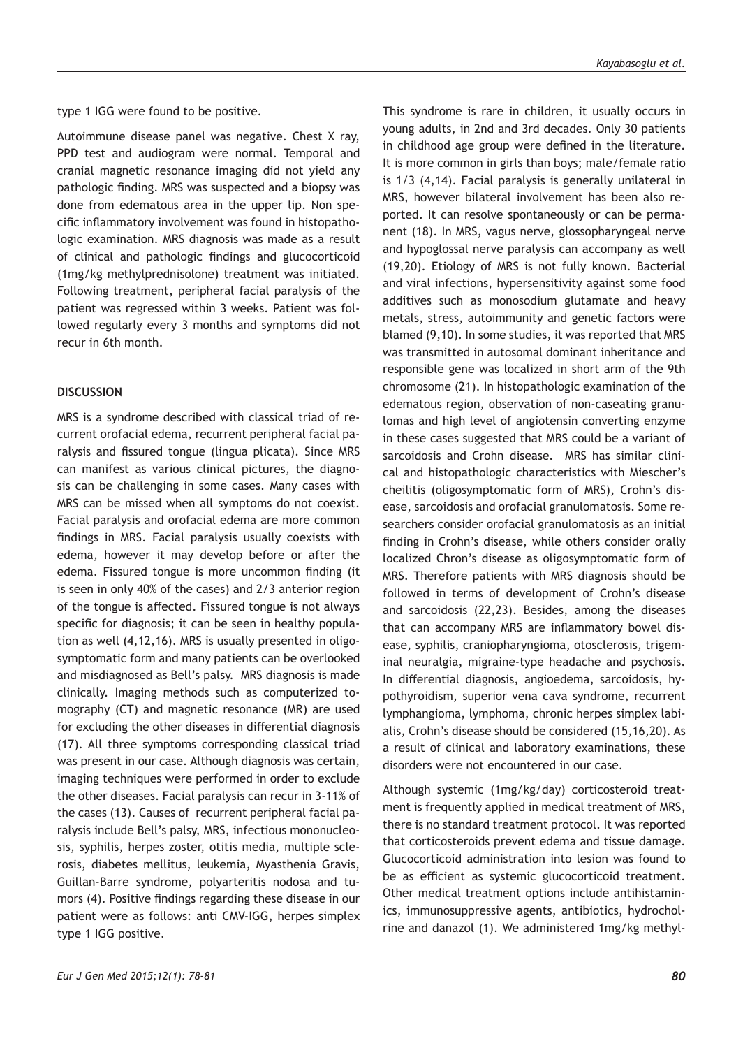type 1 IGG were found to be positive.

Autoimmune disease panel was negative. Chest X ray, PPD test and audiogram were normal. Temporal and cranial magnetic resonance imaging did not yield any pathologic finding. MRS was suspected and a biopsy was done from edematous area in the upper lip. Non specific inflammatory involvement was found in histopathologic examination. MRS diagnosis was made as a result of clinical and pathologic findings and glucocorticoid (1mg/kg methylprednisolone) treatment was initiated. Following treatment, peripheral facial paralysis of the patient was regressed within 3 weeks. Patient was followed regularly every 3 months and symptoms did not recur in 6th month.

## **DISCUSSION**

MRS is a syndrome described with classical triad of recurrent orofacial edema, recurrent peripheral facial paralysis and fissured tongue (lingua plicata). Since MRS can manifest as various clinical pictures, the diagnosis can be challenging in some cases. Many cases with MRS can be missed when all symptoms do not coexist. Facial paralysis and orofacial edema are more common findings in MRS. Facial paralysis usually coexists with edema, however it may develop before or after the edema. Fissured tongue is more uncommon finding (it is seen in only 40% of the cases) and 2/3 anterior region of the tongue is affected. Fissured tongue is not always specific for diagnosis; it can be seen in healthy population as well (4,12,16). MRS is usually presented in oligosymptomatic form and many patients can be overlooked and misdiagnosed as Bell's palsy. MRS diagnosis is made clinically. Imaging methods such as computerized tomography (CT) and magnetic resonance (MR) are used for excluding the other diseases in differential diagnosis (17). All three symptoms corresponding classical triad was present in our case. Although diagnosis was certain, imaging techniques were performed in order to exclude the other diseases. Facial paralysis can recur in 3-11% of the cases (13). Causes of recurrent peripheral facial paralysis include Bell's palsy, MRS, infectious mononucleosis, syphilis, herpes zoster, otitis media, multiple sclerosis, diabetes mellitus, leukemia, Myasthenia Gravis, Guillan-Barre syndrome, polyarteritis nodosa and tumors (4). Positive findings regarding these disease in our patient were as follows: anti CMV-IGG, herpes simplex type 1 IGG positive.

This syndrome is rare in children, it usually occurs in young adults, in 2nd and 3rd decades. Only 30 patients in childhood age group were defined in the literature. It is more common in girls than boys; male/female ratio is 1/3 (4,14). Facial paralysis is generally unilateral in MRS, however bilateral involvement has been also reported. It can resolve spontaneously or can be permanent (18). In MRS, vagus nerve, glossopharyngeal nerve and hypoglossal nerve paralysis can accompany as well (19,20). Etiology of MRS is not fully known. Bacterial and viral infections, hypersensitivity against some food additives such as monosodium glutamate and heavy metals, stress, autoimmunity and genetic factors were blamed (9,10). In some studies, it was reported that MRS was transmitted in autosomal dominant inheritance and responsible gene was localized in short arm of the 9th chromosome (21). In histopathologic examination of the edematous region, observation of non-caseating granulomas and high level of angiotensin converting enzyme in these cases suggested that MRS could be a variant of sarcoidosis and Crohn disease. MRS has similar clinical and histopathologic characteristics with Miescher's cheilitis (oligosymptomatic form of MRS), Crohn's disease, sarcoidosis and orofacial granulomatosis. Some researchers consider orofacial granulomatosis as an initial finding in Crohn's disease, while others consider orally localized Chron's disease as oligosymptomatic form of MRS. Therefore patients with MRS diagnosis should be followed in terms of development of Crohn's disease and sarcoidosis (22,23). Besides, among the diseases that can accompany MRS are inflammatory bowel disease, syphilis, craniopharyngioma, otosclerosis, trigeminal neuralgia, migraine-type headache and psychosis. In differential diagnosis, angioedema, sarcoidosis, hypothyroidism, superior vena cava syndrome, recurrent lymphangioma, lymphoma, chronic herpes simplex labialis, Crohn's disease should be considered (15,16,20). As a result of clinical and laboratory examinations, these disorders were not encountered in our case.

Although systemic (1mg/kg/day) corticosteroid treatment is frequently applied in medical treatment of MRS, there is no standard treatment protocol. It was reported that corticosteroids prevent edema and tissue damage. Glucocorticoid administration into lesion was found to be as efficient as systemic glucocorticoid treatment. Other medical treatment options include antihistaminics, immunosuppressive agents, antibiotics, hydrocholrine and danazol (1). We administered 1mg/kg methyl